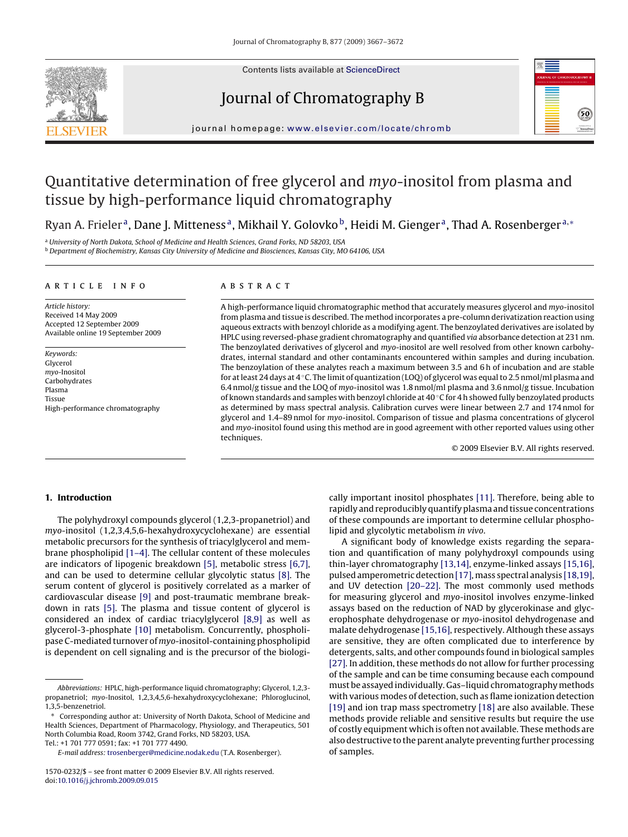

Contents lists available at [ScienceDirect](http://www.sciencedirect.com/science/journal/15700232)

# Journal of Chromatography B



journal homepage: [www.elsevier.com/locate/chromb](http://www.elsevier.com/locate/chromb)

# Quantitative determination of free glycerol and myo-inositol from plasma and tissue by high-performance liquid chromatography

Ryan A. Frieler<sup>a</sup>, Dane J. Mitteness<sup>a</sup>, Mikhail Y. Golovko<sup>b</sup>, Heidi M. Gienger<sup>a</sup>, Thad A. Rosenberger<sup>a,∗</sup>

<sup>a</sup> University of North Dakota, School of Medicine and Health Sciences, Grand Forks, ND 58203, USA

**b** Department of Biochemistry, Kansas City University of Medicine and Biosciences, Kansas City, MO 64106, USA

#### article info

Article history: Received 14 May 2009 Accepted 12 September 2009 Available online 19 September 2009

Keywords: Glycerol myo-Inositol Carbohydrates Plasma Tissue High-performance chromatography

## **ABSTRACT**

A high-performance liquid chromatographic method that accurately measures glycerol and myo-inositol from plasma and tissue is described. The method incorporates a pre-column derivatization reaction using aqueous extracts with benzoyl chloride as a modifying agent. The benzoylated derivatives are isolated by HPLC using reversed-phase gradient chromatography and quantified via absorbance detection at 231 nm. The benzoylated derivatives of glycerol and myo-inositol are well resolved from other known carbohydrates, internal standard and other contaminants encountered within samples and during incubation. The benzoylation of these analytes reach a maximum between 3.5 and 6 h of incubation and are stable for at least 24 days at 4 ◦C. The limit of quantization (LOQ) of glycerol was equal to 2.5 nmol/ml plasma and 6.4 nmol/g tissue and the LOQ of myo-inositol was 1.8 nmol/ml plasma and 3.6 nmol/g tissue. Incubation of known standards and samples with benzoyl chloride at 40 ◦C for 4 h showed fully benzoylated products as determined by mass spectral analysis. Calibration curves were linear between 2.7 and 174 nmol for glycerol and 1.4–89 nmol for myo-inositol. Comparison of tissue and plasma concentrations of glycerol and myo-inositol found using this method are in good agreement with other reported values using other techniques.

© 2009 Elsevier B.V. All rights reserved.

# **1. Introduction**

The polyhydroxyl compounds glycerol (1,2,3-propanetriol) and myo-inositol (1,2,3,4,5,6-hexahydroxycyclohexane) are essential metabolic precursors for the synthesis of triacylglycerol and membrane phospholipid [\[1–4\]. T](#page-5-0)he cellular content of these molecules are indicators of lipogenic breakdown [\[5\],](#page-5-0) metabolic stress [\[6,7\],](#page-5-0) and can be used to determine cellular glycolytic status [\[8\].](#page-5-0) The serum content of glycerol is positively correlated as a marker of cardiovascular disease [\[9\]](#page-5-0) and post-traumatic membrane breakdown in rats [\[5\].](#page-5-0) The plasma and tissue content of glycerol is considered an index of cardiac triacylglycerol [\[8,9\]](#page-5-0) as well as glycerol-3-phosphate [\[10\]](#page-5-0) metabolism. Concurrently, phospholipase C-mediated turnover of myo-inositol-containing phospholipid is dependent on cell signaling and is the precursor of the biologi-

Tel.: +1 701 777 0591; fax: +1 701 777 4490.

cally important inositol phosphates [\[11\]. T](#page-5-0)herefore, being able to rapidly and reproducibly quantify plasma and tissue concentrations of these compounds are important to determine cellular phospholipid and glycolytic metabolism in vivo.

A significant body of knowledge exists regarding the separation and quantification of many polyhydroxyl compounds using thin-layer chromatography [\[13,14\], e](#page-5-0)nzyme-linked assays [\[15,16\],](#page-5-0) pulsed amperometric detection [\[17\], m](#page-5-0)ass spectral analysis [\[18,19\],](#page-5-0) and UV detection [\[20–22\].](#page-5-0) The most commonly used methods for measuring glycerol and myo-inositol involves enzyme-linked assays based on the reduction of NAD by glycerokinase and glycerophosphate dehydrogenase or myo-inositol dehydrogenase and malate dehydrogenase [\[15,16\], r](#page-5-0)espectively. Although these assays are sensitive, they are often complicated due to interference by detergents, salts, and other compounds found in biological samples [\[27\]. I](#page-5-0)n addition, these methods do not allow for further processing of the sample and can be time consuming because each compound must be assayed individually. Gas–liquid chromatographymethods with various modes of detection, such as flame ionization detection [\[19\]](#page-5-0) and ion trap mass spectrometry [\[18\]](#page-5-0) are also available. These methods provide reliable and sensitive results but require the use of costly equipment which is often not available. These methods are also destructive to the parent analyte preventing further processing of samples.

Abbreviations: HPLC, high-performance liquid chromatography; Glycerol, 1,2,3 propanetriol; myo-Inositol, 1,2,3,4,5,6-hexahydroxycyclohexane; Phloroglucinol, 1,3,5-benzenetriol.

Corresponding author at: University of North Dakota, School of Medicine and Health Sciences, Department of Pharmacology, Physiology, and Therapeutics, 501 North Columbia Road, Room 3742, Grand Forks, ND 58203, USA.

E-mail address: [trosenberger@medicine.nodak.edu](mailto:trosenberger@medicine.nodak.edu) (T.A. Rosenberger).

<sup>1570-0232/\$ –</sup> see front matter © 2009 Elsevier B.V. All rights reserved. doi:[10.1016/j.jchromb.2009.09.015](dx.doi.org/10.1016/j.jchromb.2009.09.015)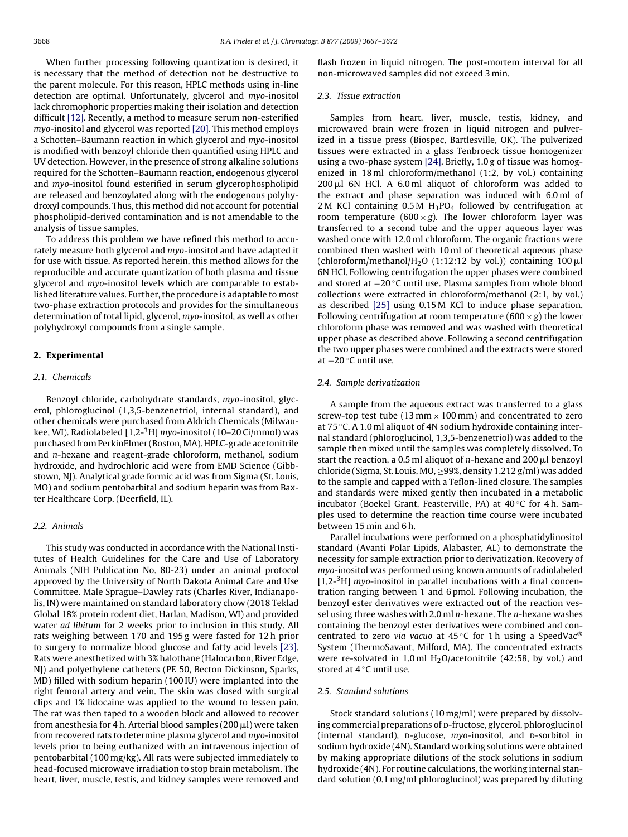When further processing following quantization is desired, it is necessary that the method of detection not be destructive to the parent molecule. For this reason, HPLC methods using in-line detection are optimal. Unfortunately, glycerol and myo-inositol lack chromophoric properties making their isolation and detection difficult [\[12\]. R](#page-5-0)ecently, a method to measure serum non-esterified myo-inositol and glycerol was reported [\[20\]. T](#page-5-0)his method employs a Schotten–Baumann reaction in which glycerol and myo-inositol is modified with benzoyl chloride then quantified using HPLC and UV detection. However, in the presence of strong alkaline solutions required for the Schotten–Baumann reaction, endogenous glycerol and myo-inositol found esterified in serum glycerophospholipid are released and benzoylated along with the endogenous polyhydroxyl compounds. Thus, this method did not account for potential phospholipid-derived contamination and is not amendable to the analysis of tissue samples.

To address this problem we have refined this method to accurately measure both glycerol and myo-inositol and have adapted it for use with tissue. As reported herein, this method allows for the reproducible and accurate quantization of both plasma and tissue glycerol and myo-inositol levels which are comparable to established literature values. Further, the procedure is adaptable to most two-phase extraction protocols and provides for the simultaneous determination of total lipid, glycerol, myo-inositol, as well as other polyhydroxyl compounds from a single sample.

# **2. Experimental**

## 2.1. Chemicals

Benzoyl chloride, carbohydrate standards, myo-inositol, glycerol, phloroglucinol (1,3,5-benzenetriol, internal standard), and other chemicals were purchased from Aldrich Chemicals (Milwaukee, WI). Radiolabeled [1,2-<sup>3</sup>H] myo-inositol (10-20 Ci/mmol) was purchased from PerkinElmer (Boston, MA). HPLC-grade acetonitrile and n-hexane and reagent-grade chloroform, methanol, sodium hydroxide, and hydrochloric acid were from EMD Science (Gibbstown, NJ). Analytical grade formic acid was from Sigma (St. Louis, MO) and sodium pentobarbital and sodium heparin was from Baxter Healthcare Corp. (Deerfield, IL).

#### 2.2. Animals

This study was conducted in accordance with the National Institutes of Health Guidelines for the Care and Use of Laboratory Animals (NIH Publication No. 80-23) under an animal protocol approved by the University of North Dakota Animal Care and Use Committee. Male Sprague–Dawley rats (Charles River, Indianapolis, IN) were maintained on standard laboratory chow (2018 Teklad Global 18% protein rodent diet, Harlan, Madison, WI) and provided water ad libitum for 2 weeks prior to inclusion in this study. All rats weighing between 170 and 195 g were fasted for 12 h prior to surgery to normalize blood glucose and fatty acid levels [\[23\].](#page-5-0) Rats were anesthetized with 3% halothane (Halocarbon, River Edge, NJ) and polyethylene catheters (PE 50, Becton Dickinson, Sparks, MD) filled with sodium heparin (100 IU) were implanted into the right femoral artery and vein. The skin was closed with surgical clips and 1% lidocaine was applied to the wound to lessen pain. The rat was then taped to a wooden block and allowed to recover from anesthesia for 4 h. Arterial blood samples (200  $\mu$ l) were taken from recovered rats to determine plasma glycerol and myo-inositol levels prior to being euthanized with an intravenous injection of pentobarbital (100 mg/kg). All rats were subjected immediately to head-focused microwave irradiation to stop brain metabolism. The heart, liver, muscle, testis, and kidney samples were removed and

flash frozen in liquid nitrogen. The post-mortem interval for all non-microwaved samples did not exceed 3 min.

# 2.3. Tissue extraction

Samples from heart, liver, muscle, testis, kidney, and microwaved brain were frozen in liquid nitrogen and pulverized in a tissue press (Biospec, Bartlesville, OK). The pulverized tissues were extracted in a glass Tenbroeck tissue homogenizer using a two-phase system [\[24\]. B](#page-5-0)riefly, 1.0 g of tissue was homogenized in 18 ml chloroform/methanol (1:2, by vol.) containing 200 µl 6N HCl. A 6.0 ml aliquot of chloroform was added to the extract and phase separation was induced with 6.0 ml of 2 M KCl containing  $0.5 M H_3PO_4$  followed by centrifugation at room temperature (600  $\times$  g). The lower chloroform layer was transferred to a second tube and the upper aqueous layer was washed once with 12.0 ml chloroform. The organic fractions were combined then washed with 10 ml of theoretical aqueous phase (chloroform/methanol/H<sub>2</sub>O (1:12:12 by vol.)) containing 100  $\mu$ l 6N HCl. Following centrifugation the upper phases were combined and stored at −20 ◦C until use. Plasma samples from whole blood collections were extracted in chloroform/methanol (2:1, by vol.) as described [\[25\]](#page-5-0) using 0.15 M KCl to induce phase separation. Following centrifugation at room temperature (600  $\times$  g) the lower chloroform phase was removed and was washed with theoretical upper phase as described above. Following a second centrifugation the two upper phases were combined and the extracts were stored at −20 ◦C until use.

## 2.4. Sample derivatization

A sample from the aqueous extract was transferred to a glass screw-top test tube (13 mm  $\times$  100 mm) and concentrated to zero at 75 ◦C. A 1.0 ml aliquot of 4N sodium hydroxide containing internal standard (phloroglucinol, 1,3,5-benzenetriol) was added to the sample then mixed until the samples was completely dissolved. To start the reaction, a 0.5 ml aliquot of n-hexane and 200  $\mu$ l benzoyl chloride (Sigma, St. Louis, MO,  $\geq$ 99%, density 1.212 g/ml) was added to the sample and capped with a Teflon-lined closure. The samples and standards were mixed gently then incubated in a metabolic incubator (Boekel Grant, Feasterville, PA) at 40 ◦C for 4 h. Samples used to determine the reaction time course were incubated between 15 min and 6 h.

Parallel incubations were performed on a phosphatidylinositol standard (Avanti Polar Lipids, Alabaster, AL) to demonstrate the necessity for sample extraction prior to derivatization. Recovery of myo-inositol was performed using known amounts of radiolabeled  $[1,2^{-3}H]$  myo-inositol in parallel incubations with a final concentration ranging between 1 and 6 pmol. Following incubation, the benzoyl ester derivatives were extracted out of the reaction vessel using three washes with 2.0 ml  $n$ -hexane. The  $n$ -hexane washes containing the benzoyl ester derivatives were combined and concentrated to zero via vacuo at 45 °C for 1 h using a SpeedVac® System (ThermoSavant, Milford, MA). The concentrated extracts were re-solvated in 1.0 ml  $H<sub>2</sub>O/$ acetonitrile (42:58, by vol.) andstored at 4 °C until use.

#### 2.5. Standard solutions

Stock standard solutions (10 mg/ml) were prepared by dissolving commercial preparations of p-fructose, glycerol, phloroglucinol (internal standard), p-glucose, myo-inositol, and p-sorbitol in sodium hydroxide (4N). Standard working solutions were obtained by making appropriate dilutions of the stock solutions in sodium hydroxide (4N). For routine calculations, the working internal standard solution (0.1 mg/ml phloroglucinol) was prepared by diluting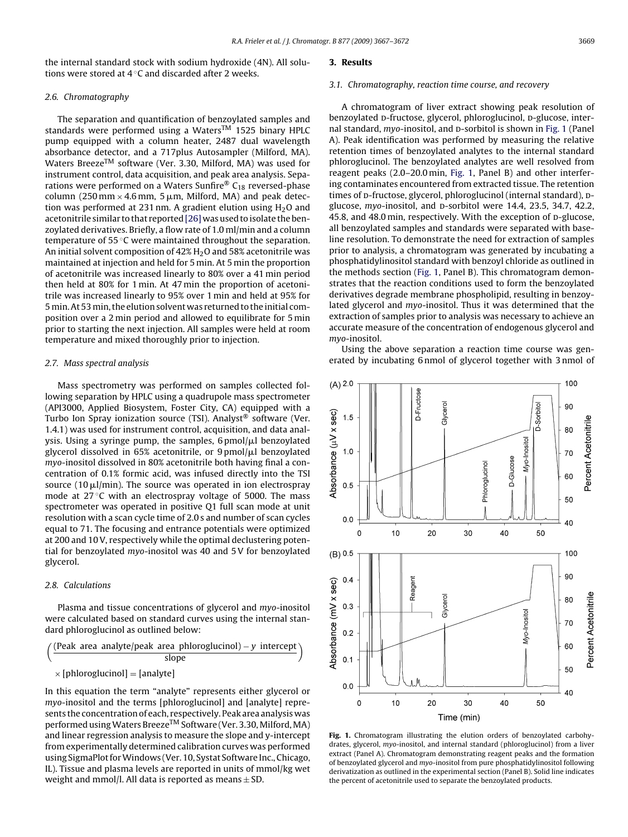the internal standard stock with sodium hydroxide (4N). All solutions were stored at 4 ◦C and discarded after 2 weeks.

## 2.6. Chromatography

The separation and quantification of benzoylated samples and standards were performed using a Waters<sup>TM</sup> 1525 binary HPLC pump equipped with a column heater, 2487 dual wavelength absorbance detector, and a 717plus Autosampler (Milford, MA). Waters Breeze<sup>TM</sup> software (Ver. 3.30, Milford, MA) was used for instrument control, data acquisition, and peak area analysis. Separations were performed on a Waters Sunfire®  $C_{18}$  reversed-phase column (250 mm  $\times$  4.6 mm, 5 µm, Milford, MA) and peak detection was performed at 231 nm. A gradient elution using  $H_2O$  and acetonitrile similar to that reported[\[26\]](#page-5-0) was used to isolate the benzoylated derivatives. Briefly, a flow rate of 1.0 ml/min and a column temperature of 55 ℃ were maintained throughout the separation. An initial solvent composition of  $42\%$  H<sub>2</sub>O and 58% acetonitrile was maintained at injection and held for 5 min. At 5 min the proportion of acetonitrile was increased linearly to 80% over a 41 min period then held at 80% for 1 min. At 47 min the proportion of acetonitrile was increased linearly to 95% over 1 min and held at 95% for 5 min. At 53 min, the elution solvent was returned to the initial composition over a 2 min period and allowed to equilibrate for 5 min prior to starting the next injection. All samples were held at room temperature and mixed thoroughly prior to injection.

# 2.7. Mass spectral analysis

Mass spectrometry was performed on samples collected following separation by HPLC using a quadrupole mass spectrometer (API3000, Applied Biosystem, Foster City, CA) equipped with a Turbo Ion Spray ionization source (TSI). Analyst® software (Ver. 1.4.1) was used for instrument control, acquisition, and data analysis. Using a syringe pump, the samples,  $6\,\mathrm{pmol/}\mu$ l benzoylated glycerol dissolved in 65% acetonitrile, or 9pmol/ $\mu$ l benzoylated myo-inositol dissolved in 80% acetonitrile both having final a concentration of 0.1% formic acid, was infused directly into the TSI source (10  $\mu$ l/min). The source was operated in ion electrospray mode at  $27^{\circ}$ C with an electrospray voltage of 5000. The mass spectrometer was operated in positive Q1 full scan mode at unit resolution with a scan cycle time of 2.0 s and number of scan cycles equal to 71. The focusing and entrance potentials were optimized at 200 and 10 V, respectively while the optimal declustering potential for benzoylated myo-inositol was 40 and 5 V for benzoylated glycerol.

# 2.8. Calculations

Plasma and tissue concentrations of glycerol and myo-inositol were calculated based on standard curves using the internal standard phloroglucinol as outlined below:

$$
\left(\frac{\text{(Peak area analytic/peak area phonoglucinol)} - y \text{ intercept}}{\text{slope}}\right)
$$
  
× [phloroglucinol] = [analyte]

In this equation the term "analyte" represents either glycerol or myo-inositol and the terms [phloroglucinol] and [analyte] represents the concentration of each, respectively. Peak area analysis was performed using Waters Breeze<sup>TM</sup> Software (Ver. 3.30, Milford, MA) and linear regression analysis to measure the slope and y-intercept from experimentally determined calibration curves was performed using SigmaPlot forWindows (Ver. 10, Systat Software Inc., Chicago, IL). Tissue and plasma levels are reported in units of mmol/kg wet weight and mmol/l. All data is reported as means  $\pm$  SD.

#### **3. Results**

#### 3.1. Chromatography, reaction time course, and recovery

A chromatogram of liver extract showing peak resolution of benzoylated D-fructose, glycerol, phloroglucinol, D-glucose, internal standard,  $myo$ -inositol, and  $D$ -sorbitol is shown in Fig. 1 (Panel A). Peak identification was performed by measuring the relative retention times of benzoylated analytes to the internal standard phloroglucinol. The benzoylated analytes are well resolved from reagent peaks (2.0–20.0 min, Fig. 1, Panel B) and other interfering contaminates encountered from extracted tissue. The retention times of p-fructose, glycerol, phloroglucinol (internal standard), pglucose, myo-inositol, and p-sorbitol were 14.4, 23.5, 34.7, 42.2, 45.8, and 48.0 min, respectively. With the exception of p-glucose, all benzoylated samples and standards were separated with baseline resolution. To demonstrate the need for extraction of samples prior to analysis, a chromatogram was generated by incubating a phosphatidylinositol standard with benzoyl chloride as outlined in the methods section (Fig. 1, Panel B). This chromatogram demonstrates that the reaction conditions used to form the benzoylated derivatives degrade membrane phospholipid, resulting in benzoylated glycerol and myo-inositol. Thus it was determined that the extraction of samples prior to analysis was necessary to achieve an accurate measure of the concentration of endogenous glycerol and myo-inositol.

Using the above separation a reaction time course was generated by incubating 6 nmol of glycerol together with 3 nmol of



**Fig. 1.** Chromatogram illustrating the elution orders of benzoylated carbohydrates, glycerol, myo-inositol, and internal standard (phloroglucinol) from a liver extract (Panel A). Chromatogram demonstrating reagent peaks and the formation of benzoylated glycerol and myo-inositol from pure phosphatidylinositol following derivatization as outlined in the experimental section (Panel B). Solid line indicates the percent of acetonitrile used to separate the benzoylated products.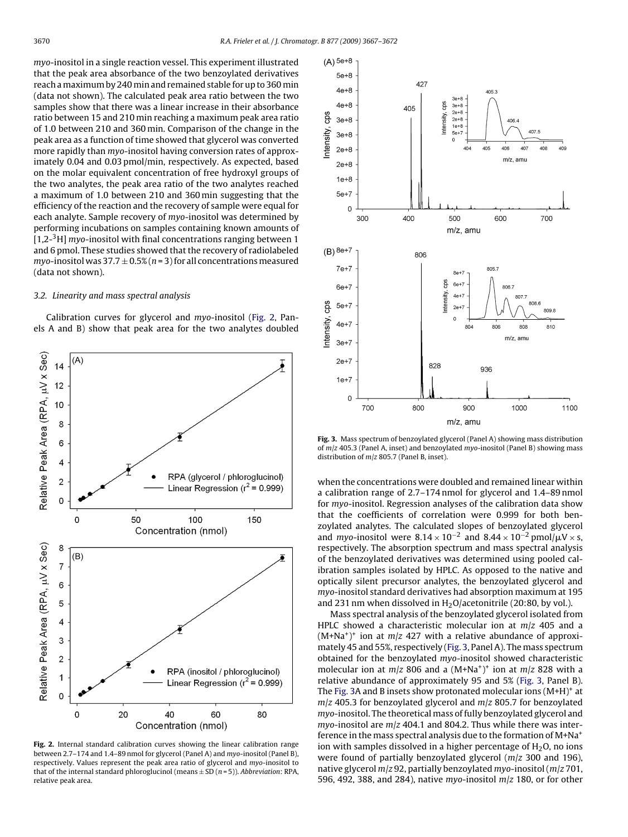myo-inositol in a single reaction vessel. This experiment illustrated that the peak area absorbance of the two benzoylated derivatives reach amaximum by 240 min and remained stable for up to 360 min (data not shown). The calculated peak area ratio between the two samples show that there was a linear increase in their absorbance ratio between 15 and 210 min reaching a maximum peak area ratio of 1.0 between 210 and 360 min. Comparison of the change in the peak area as a function of time showed that glycerol was converted more rapidly than myo-inositol having conversion rates of approximately 0.04 and 0.03 pmol/min, respectively. As expected, based on the molar equivalent concentration of free hydroxyl groups of the two analytes, the peak area ratio of the two analytes reached a maximum of 1.0 between 210 and 360 min suggesting that the efficiency of the reaction and the recovery of sample were equal for each analyte. Sample recovery of myo-inositol was determined by performing incubations on samples containing known amounts of  $[1,2^{-3}H]$  myo-inositol with final concentrations ranging between 1 and 6 pmol. These studies showed that the recovery of radiolabeled myo-inositol was  $37.7 \pm 0.5\%$  (n = 3) for all concentrations measured (data not shown).

# 3.2. Linearity and mass spectral analysis

Calibration curves for glycerol and myo-inositol (Fig. 2, Panels A and B) show that peak area for the two analytes doubled



**Fig. 2.** Internal standard calibration curves showing the linear calibration range between 2.7–174 and 1.4–89 nmol for glycerol (Panel A) and myo-inositol (Panel B), respectively. Values represent the peak area ratio of glycerol and myo-inositol to that of the internal standard phloroglucinol (means  $\pm$  SD (n = 5)). Abbreviation: RPA, relative peak area.



**Fig. 3.** Mass spectrum of benzoylated glycerol (Panel A) showing mass distribution of  $m/z$  405.3 (Panel A, inset) and benzoylated myo-inositol (Panel B) showing mass distribution of m/z 805.7 (Panel B, inset).

when the concentrations were doubled and remained linear within a calibration range of 2.7–174 nmol for glycerol and 1.4–89 nmol for myo-inositol. Regression analyses of the calibration data show that the coefficients of correlation were 0.999 for both benzoylated analytes. The calculated slopes of benzoylated glycerol and myo-inositol were  $8.14 \times 10^{-2}$  and  $8.44 \times 10^{-2}$  pmol/ $\mu$ V × s, respectively. The absorption spectrum and mass spectral analysis of the benzoylated derivatives was determined using pooled calibration samples isolated by HPLC. As opposed to the native and optically silent precursor analytes, the benzoylated glycerol and myo-inositol standard derivatives had absorption maximum at 195 and 231 nm when dissolved in  $H<sub>2</sub>O/acetonitrile$  (20:80, by vol.).

Mass spectral analysis of the benzoylated glycerol isolated from HPLC showed a characteristic molecular ion at  $m/z$  405 and a  $(M+Na<sup>+</sup>)<sup>+</sup>$  ion at  $m/z$  427 with a relative abundance of approximately 45 and 55%, respectively (Fig. 3, Panel A). The mass spectrum obtained for the benzoylated myo-inositol showed characteristic molecular ion at  $m/z$  806 and a  $(M+Na^+)$ <sup>+</sup> ion at  $m/z$  828 with a relative abundance of approximately 95 and 5% (Fig. 3, Panel B). The Fig. 3A and B insets show protonated molecular ions  $(M+H)^+$  at  $m/z$  405.3 for benzoylated glycerol and  $m/z$  805.7 for benzoylated myo-inositol. The theoretical mass of fully benzoylated glycerol and myo-inositol are  $m/z$  404.1 and 804.2. Thus while there was interference in the mass spectral analysis due to the formation of M+Na+ ion with samples dissolved in a higher percentage of  $H<sub>2</sub>O$ , no ions were found of partially benzoylated glycerol ( $m/z$  300 and 196), native glycerol  $m/z$  92, partially benzoylated myo-inositol ( $m/z$  701, 596, 492, 388, and 284), native myo-inositol  $m/z$  180, or for other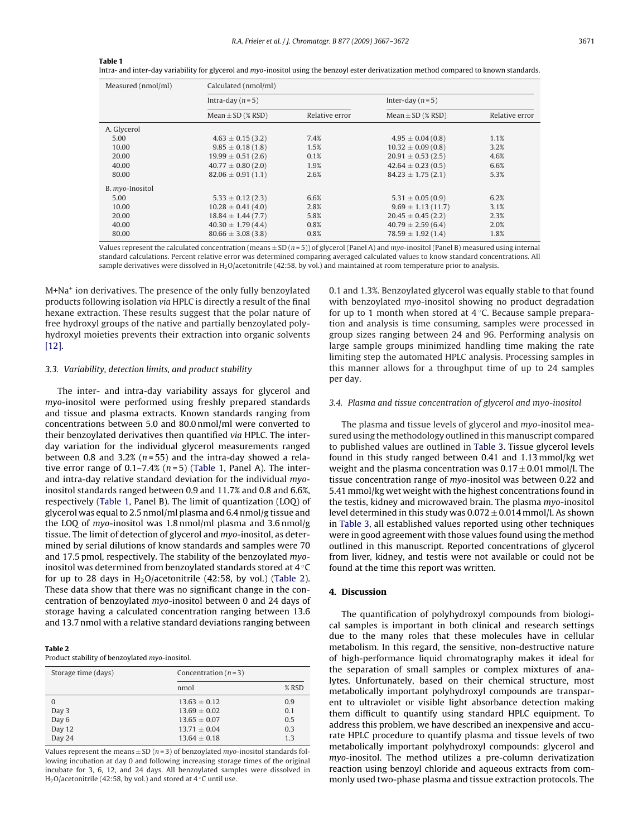| Measured (nmol/ml) | Calculated (nmol/ml)   |                |                        |                |  |
|--------------------|------------------------|----------------|------------------------|----------------|--|
|                    | Intra-day $(n=5)$      |                | Inter-day $(n=5)$      |                |  |
|                    | Mean $\pm$ SD (% RSD)  | Relative error | Mean $\pm$ SD (% RSD)  | Relative error |  |
| A. Glycerol        |                        |                |                        |                |  |
| 5.00               | $4.63 \pm 0.15(3.2)$   | 7.4%           | $4.95 \pm 0.04(0.8)$   | 1.1%           |  |
| 10.00              | $9.85 \pm 0.18(1.8)$   | 1.5%           | $10.32 \pm 0.09(0.8)$  | 3.2%           |  |
| 20.00              | $19.99 \pm 0.51(2.6)$  | 0.1%           | $20.91 \pm 0.53$ (2.5) | 4.6%           |  |
| 40.00              | $40.77 \pm 0.80$ (2.0) | 1.9%           | $42.64 \pm 0.23(0.5)$  | 6.6%           |  |
| 80.00              | $82.06 \pm 0.91(1.1)$  | 2.6%           | $84.23 \pm 1.75(2.1)$  | 5.3%           |  |
| B. myo-Inositol    |                        |                |                        |                |  |
| 5.00               | $5.33 \pm 0.12$ (2.3)  | 6.6%           | $5.31 \pm 0.05(0.9)$   | 6.2%           |  |
| 10.00              | $10.28 \pm 0.41(4.0)$  | 2.8%           | $9.69 \pm 1.13(11.7)$  | 3.1%           |  |
| 20.00              | $18.84 \pm 1.44(7.7)$  | 5.8%           | $20.45 \pm 0.45$ (2.2) | 2.3%           |  |
| 40.00              | $40.30 \pm 1.79(4.4)$  | 0.8%           | $40.79 \pm 2.59(6.4)$  | 2.0%           |  |
| 80.00              | $80.66 \pm 3.08(3.8)$  | 0.8%           | $78.59 \pm 1.92(1.4)$  | 1.8%           |  |

Intra- and inter-day variability for glycerol and myo-inositol using the benzoyl ester derivatization method compared to known standards.

Values represent the calculated concentration (means  $\pm$  SD ( $n$  = 5)) of glycerol (Panel A) and myo-inositol (Panel B) measured using internal standard calculations. Percent relative error was determined comparing averaged calculated values to know standard concentrations. All sample derivatives were dissolved in H<sub>2</sub>O/acetonitrile (42:58, by vol.) and maintained at room temperature prior to analysis.

M+Na+ ion derivatives. The presence of the only fully benzoylated products following isolation via HPLC is directly a result of the final hexane extraction. These results suggest that the polar nature of free hydroxyl groups of the native and partially benzoylated polyhydroxyl moieties prevents their extraction into organic solvents [\[12\].](#page-5-0)

## 3.3. Variability, detection limits, and product stability

**Table 1**

The inter- and intra-day variability assays for glycerol and myo-inositol were performed using freshly prepared standards and tissue and plasma extracts. Known standards ranging from concentrations between 5.0 and 80.0 nmol/ml were converted to their benzoylated derivatives then quantified via HPLC. The interday variation for the individual glycerol measurements ranged between 0.8 and 3.2% ( $n = 55$ ) and the intra-day showed a relative error range of 0.1–7.4%  $(n=5)$  (Table 1, Panel A). The interand intra-day relative standard deviation for the individual myoinositol standards ranged between 0.9 and 11.7% and 0.8 and 6.6%, respectively (Table 1, Panel B). The limit of quantization (LOQ) of glycerol was equal to 2.5 nmol/ml plasma and 6.4 nmol/g tissue and the LOQ of myo-inositol was 1.8 nmol/ml plasma and 3.6 nmol/g tissue. The limit of detection of glycerol and myo-inositol, as determined by serial dilutions of know standards and samples were 70 and 17.5 pmol, respectively. The stability of the benzoylated myoinositol was determined from benzoylated standards stored at 4 ◦C for up to 28 days in  $H<sub>2</sub>O/acetonitrile$  (42:58, by vol.) (Table 2). These data show that there was no significant change in the concentration of benzoylated myo-inositol between 0 and 24 days of storage having a calculated concentration ranging between 13.6 and 13.7 nmol with a relative standard deviations ranging between

|--|--|

Product stability of benzoylated myo-inositol.

| Storage time (days) | Concentration $(n=3)$ |         |  |
|---------------------|-----------------------|---------|--|
|                     | nmol                  | $%$ RSD |  |
| $\Omega$            | $13.63 + 0.12$        | 0.9     |  |
| Day 3               | $13.69 + 0.02$        | 0.1     |  |
| Day 6               | $13.65 + 0.07$        | 0.5     |  |
| Day 12              | $13.71 + 0.04$        | 0.3     |  |
| Day 24              | $13.64 + 0.18$        | 1.3     |  |
|                     |                       |         |  |

Values represent the means  $+$  SD ( $n=3$ ) of benzoylated myo-inositol standards following incubation at day 0 and following increasing storage times of the original incubate for 3, 6, 12, and 24 days. All benzoylated samples were dissolved in H<sub>2</sub>O/acetonitrile (42:58, by vol.) and stored at 4  $\degree$ C until use.

0.1 and 1.3%. Benzoylated glycerol was equally stable to that found with benzoylated myo-inositol showing no product degradation for up to 1 month when stored at 4 ℃. Because sample preparation and analysis is time consuming, samples were processed in group sizes ranging between 24 and 96. Performing analysis on large sample groups minimized handling time making the rate limiting step the automated HPLC analysis. Processing samples in this manner allows for a throughput time of up to 24 samples per day.

## 3.4. Plasma and tissue concentration of glycerol and myo-inositol

The plasma and tissue levels of glycerol and myo-inositol measured using the methodology outlined in this manuscript compared to published values are outlined in [Table 3.](#page-5-0) Tissue glycerol levels found in this study ranged between 0.41 and 1.13 mmol/kg wet weight and the plasma concentration was  $0.17 \pm 0.01$  mmol/l. The tissue concentration range of myo-inositol was between 0.22 and 5.41 mmol/kg wet weight with the highest concentrations found in the testis, kidney and microwaved brain. The plasma myo-inositol level determined in this study was  $0.072 \pm 0.014$  mmol/l. As shown in [Table 3, a](#page-5-0)ll established values reported using other techniques were in good agreement with those values found using the method outlined in this manuscript. Reported concentrations of glycerol from liver, kidney, and testis were not available or could not be found at the time this report was written.

# **4. Discussion**

The quantification of polyhydroxyl compounds from biological samples is important in both clinical and research settings due to the many roles that these molecules have in cellular metabolism. In this regard, the sensitive, non-destructive nature of high-performance liquid chromatography makes it ideal for the separation of small samples or complex mixtures of analytes. Unfortunately, based on their chemical structure, most metabolically important polyhydroxyl compounds are transparent to ultraviolet or visible light absorbance detection making them difficult to quantify using standard HPLC equipment. To address this problem, we have described an inexpensive and accurate HPLC procedure to quantify plasma and tissue levels of two metabolically important polyhydroxyl compounds: glycerol and myo-inositol. The method utilizes a pre-column derivatization reaction using benzoyl chloride and aqueous extracts from commonly used two-phase plasma and tissue extraction protocols. The